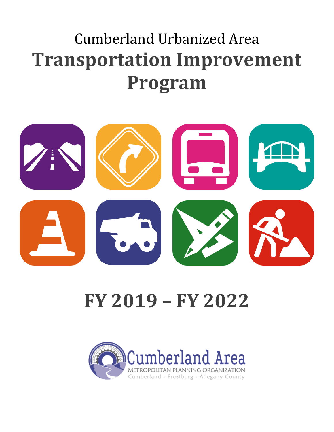## Cumberland Urbanized Area **Transportation Improvement Program**



# **FY 2019 – FY 2022**

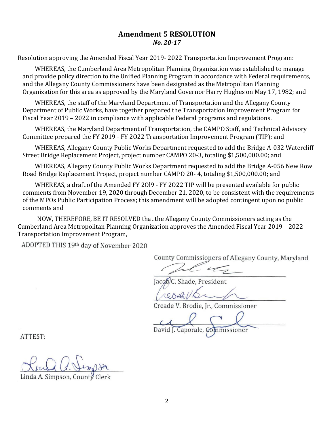#### **Amendment 5 RESOLUTION** *No. 20-17*

Resolution approving the Amended Fiscal Year 2019- 2022 Transportation Improvement Program:

WHEREAS, the Cumberland Area Metropolitan Planning Organization was established to manage and provide policy direction to the Unified Planning Program in accordance with Federal requirements, and the Allegany County Commissioners have been designated as the Metropolitan Planning Organization for this area as approved by the Maryland Governor Harry Hughes on May 17, 1982; and

WHEREAS, the staff of the Maryland Department of Transportation and the Allegany County Department of Public Works, have together prepared the Transportation Improvement Program for Fiscal Year 2019 – 2022 in compliance with applicable Federal programs and regulations.

WHEREAS, the Maryland Department of Transportation, the CAMPO Staff, and Technical Advisory Committee prepared the FY 2019 - FY 2O22 Transportation Improvement Program (TIP); and

WHEREAS, Allegany County Public Works Department requested to add the Bridge A-032 Watercliff Street Bridge Replacement Project, project number CAMPO 20-3, totaling \$1,500,000.00; and

WHEREAS, Allegany County Public Works Department requested to add the Bridge A-056 New Row Road Bridge Replacement Project, project number CAMPO 20- 4, totaling \$1,500,000.00; and

WHEREAS, a draft of the Amended FY 2Ol9 - FY 2O22 TIP will be presented available for public comments from November 19, 2020 through December 21, 2020, to be consistent with the requirements of the MPOs Public Participation Process; this amendment will be adopted contingent upon no public comments and

NOW, THEREFORE, BE IT RESOLVED that the Allegany County Commissioners acting as the Cumberland Area Metropolitan Planning Organization approves the Amended Fiscal Year 2019 – 2022 Transportation Improvement Program,

ADOPTED THIS 19th day of November 2020

County Commissioners of Allegany County, Maryland

 $\mu$ 

Jacob/C. Shade, President

 $\mu$ 

Creade V. Brodie, Jr., Commissioner

 $\ldots$   $\vee$   $\cap$   $\vee$  $\overline{\phantom{a}}$ 

ATTEST:

 $J \cap \mathcal{D}$ 

Linda A. Simpson, County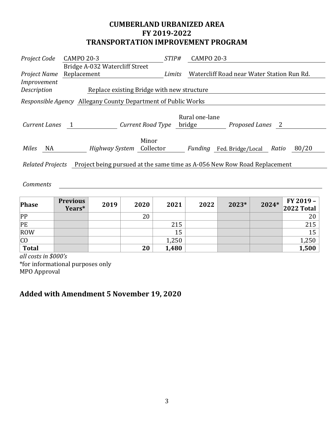## **CUMBERLAND URBANIZED AREA FY 2019-2022 TRANSPORTATION IMPROVEMENT PROGRAM**

| Project Code                                                                                 | <b>CAMPO 20-3</b>                                             | <i>STIP#</i> | <b>CAMPO 20-3</b>                              |  |  |  |  |
|----------------------------------------------------------------------------------------------|---------------------------------------------------------------|--------------|------------------------------------------------|--|--|--|--|
|                                                                                              | Bridge A-032 Watercliff Street                                |              |                                                |  |  |  |  |
| Project Name                                                                                 | Replacement                                                   | Limits       | Watercliff Road near Water Station Run Rd.     |  |  |  |  |
| <i>Improvement</i>                                                                           |                                                               |              |                                                |  |  |  |  |
| Description                                                                                  | Replace existing Bridge with new structure                    |              |                                                |  |  |  |  |
|                                                                                              | Responsible Agency Allegany County Department of Public Works |              |                                                |  |  |  |  |
| Current Lanes                                                                                | Current Road Type<br>$\overline{1}$                           |              | Rural one-lane<br>Proposed Lanes 2<br>bridge   |  |  |  |  |
| Miles<br>NA                                                                                  | Minor<br>Highway System Collector                             |              | 80/20<br>Fed. Bridge/Local<br>Ratio<br>Funding |  |  |  |  |
| Project being pursued at the same time as A-056 New Row Road Replacement<br>Related Projects |                                                               |              |                                                |  |  |  |  |
|                                                                                              |                                                               |              |                                                |  |  |  |  |

#### *Comments*

| Phase        | <b>Previous</b><br>Years* | 2019 | 2020 | 2021  | 2022 | 2023* | 2024* | FY 2019 -<br>2022 Total |
|--------------|---------------------------|------|------|-------|------|-------|-------|-------------------------|
| PP           |                           |      | 20   |       |      |       |       | 20                      |
| PE           |                           |      |      | 215   |      |       |       | 215                     |
| ROW          |                           |      |      | 15    |      |       |       | 15                      |
| CO           |                           |      |      | 1,250 |      |       |       | 1,250                   |
| <b>Total</b> |                           |      | 20   | 1,480 |      |       |       | 1,500                   |

*all costs in \$000's* \*for informational purposes only MPO Approval

## **Added with Amendment 5 November 19, 2020**